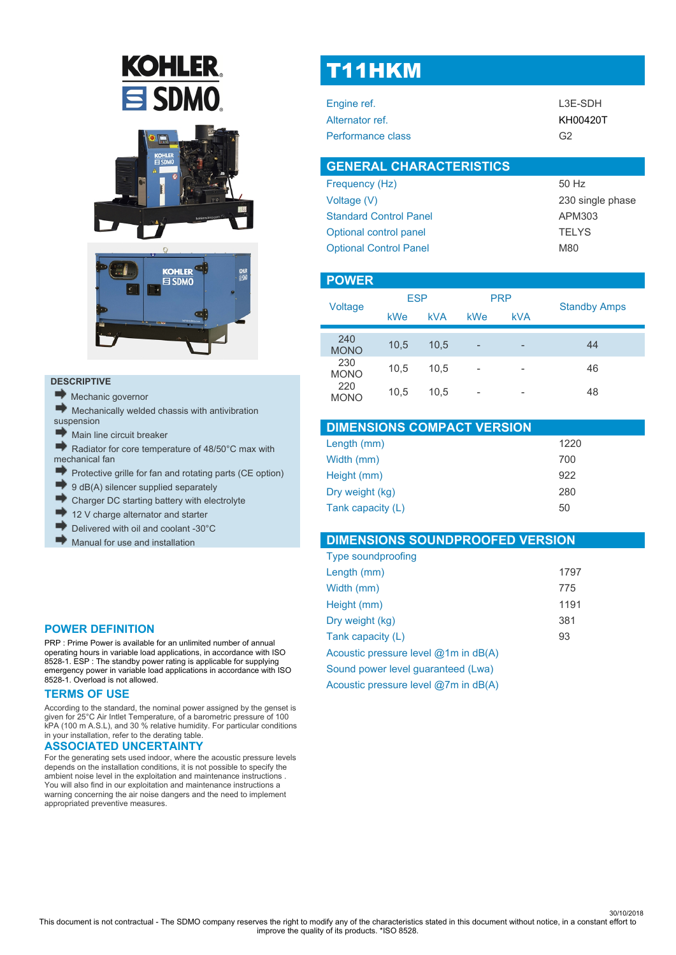# **KOHLER**  $\mathbf{\Xi}$  SDMO





#### **DESCRIPTIVE**

- Mechanic governor
- Mechanically welded chassis with antivibration suspension
- Main line circuit breaker
- Radiator for core temperature of 48/50°C max with mechanical fan
- Protective grille for fan and rotating parts (CE option)
- 9 dB(A) silencer supplied separately
- Charger DC starting battery with electrolyte
- 12 V charge alternator and starter
- Delivered with oil and coolant -30°C
- Manual for use and installation

#### **POWER DEFINITION**

PRP : Prime Power is available for an unlimited number of annual operating hours in variable load applications, in accordance with ISO 8528-1. ESP : The standby power rating is applicable for supplying emergency power in variable load applications in accordance with ISO 8528-1. Overload is not allowed.

#### **TERMS OF USE**

According to the standard, the nominal power assigned by the genset is given for 25°C Air Intlet Temperature, of a barometric pressure of 100 kPA (100 m A.S.L), and 30 % relative humidity. For particular conditions in your installation, refer to the derating table.

#### **ASSOCIATED UNCERTAINTY**

For the generating sets used indoor, where the acoustic pressure levels depends on the installation conditions, it is not possible to specify the ambient noise level in the exploitation and maintenance instructions . You will also find in our exploitation and maintenance instructions a warning concerning the air noise dangers and the need to implement appropriated preventive measures.

## T11HKM

| L3E-SDH  |
|----------|
| KH00420T |
| G2       |
|          |

| <b>GENERAL CHARACTERISTICS</b> |                  |
|--------------------------------|------------------|
| Frequency (Hz)                 | 50 Hz            |
| Voltage (V)                    | 230 single phase |
| <b>Standard Control Panel</b>  | APM303           |
| Optional control panel         | <b>TFIYS</b>     |
| <b>Optional Control Panel</b>  | <b>M80</b>       |

#### **POWER**

| Voltage            | <b>ESP</b> |            | <b>PRP</b>               |            | <b>Standby Amps</b> |
|--------------------|------------|------------|--------------------------|------------|---------------------|
|                    | kWe        | <b>kVA</b> | kWe                      | <b>kVA</b> |                     |
| 240<br><b>MONO</b> | 10,5       | 10.5       | $\overline{\phantom{0}}$ | -          | 44                  |
| 230<br><b>MONO</b> | 10,5       | 10.5       | -                        | -          | 46                  |
| 220<br><b>MONO</b> | 10,5       | 10.5       | -                        | -          | 48                  |

| <b>DIMENSIONS COMPACT VERSION</b> |      |
|-----------------------------------|------|
| Length (mm)                       | 1220 |
| Width (mm)                        | 700  |
| Height (mm)                       | 922  |
| Dry weight (kg)                   | 280  |
| Tank capacity (L)                 | 50   |

#### **DIMENSIONS SOUNDPROOFED VERSION**

| <b>Type soundproofing</b>                |      |
|------------------------------------------|------|
| Length (mm)                              | 1797 |
| Width (mm)                               | 775  |
| Height (mm)                              | 1191 |
| Dry weight (kg)                          | 381  |
| Tank capacity (L)                        | 93   |
| Acoustic pressure level $@1m$ in $dB(A)$ |      |
| Sound power level guaranteed (Lwa)       |      |
| Acoustic pressure level @7m in dB(A)     |      |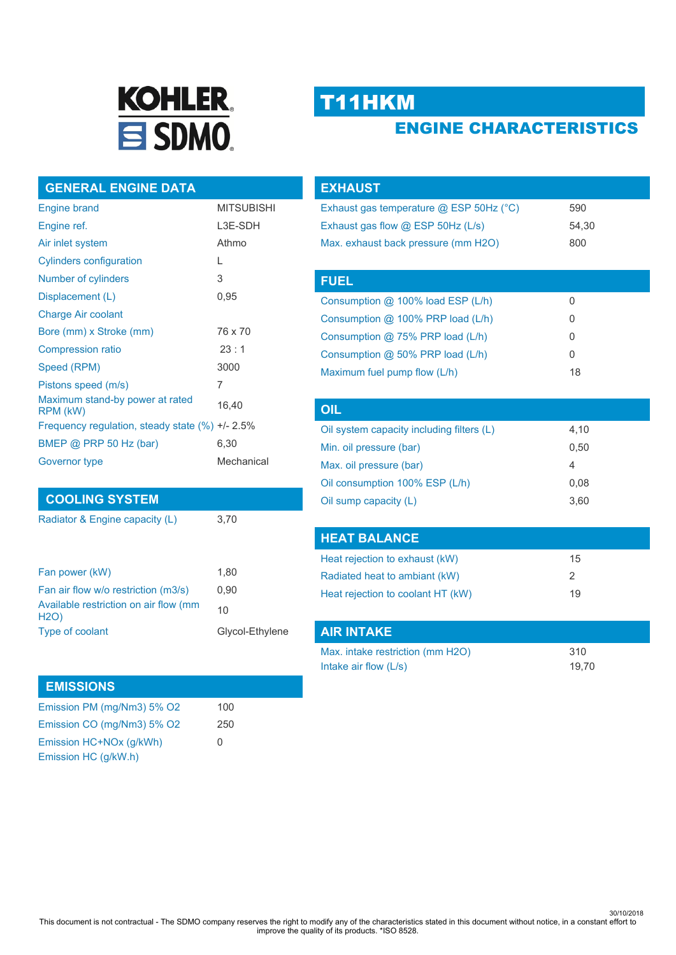

# T11HKM

## ENGINE CHARACTERISTICS

#### **GENERAL ENGINE DATA**

| <b>Engine brand</b>                               | <b>MITSUBISHI</b> |
|---------------------------------------------------|-------------------|
| Engine ref.                                       | L3E-SDH           |
| Air inlet system                                  | Athmo             |
| <b>Cylinders configuration</b>                    | L                 |
| Number of cylinders                               | 3                 |
| Displacement (L)                                  | 0,95              |
| Charge Air coolant                                |                   |
| Bore (mm) x Stroke (mm)                           | 76 x 70           |
| <b>Compression ratio</b>                          | 23:1              |
| Speed (RPM)                                       | 3000              |
| Pistons speed (m/s)                               | 7                 |
| Maximum stand-by power at rated<br>RPM (kW)       | 16,40             |
| Frequency regulation, steady state $(\%) +12.5\%$ |                   |
| BMEP @ PRP 50 Hz (bar)                            | 6,30              |
| Governor type                                     | Mechanical        |

#### **COOLING SYSTEM**

Radiator & Engine capacity (L) 3,70

| Fan power (kW)                                       | 1.80            |
|------------------------------------------------------|-----------------|
| Fan air flow w/o restriction (m3/s)                  | 0.90            |
| Available restriction on air flow (mm<br><b>H2O)</b> | 10              |
| Type of coolant                                      | Glycol-Ethylene |

#### **EMISSIONS**

| Emission PM (mg/Nm3) 5% O2 | 100 |
|----------------------------|-----|
| Emission CO (mg/Nm3) 5% O2 | 250 |
| Emission HC+NOx (g/kWh)    | O   |
| Emission HC (g/kW.h)       |     |

| <b>EXHAUST</b>                          |       |  |
|-----------------------------------------|-------|--|
| Exhaust gas temperature @ ESP 50Hz (°C) | 590   |  |
| Exhaust gas flow @ ESP 50Hz (L/s)       | 54.30 |  |
| Max. exhaust back pressure (mm H2O)     | 800   |  |
|                                         |       |  |
| <b>FUEL</b>                             |       |  |
| Consumption @ 100% load ESP (L/h)       | 0     |  |
| Consumption @ 100% PRP load (L/h)       | O     |  |
| Consumption $@$ 75% PRP load (L/h)      | 0     |  |
| Consumption @ 50% PRP load (L/h)        | 0     |  |
| Maximum fuel pump flow (L/h)            | 18    |  |
|                                         |       |  |

| OIL                                       |      |  |
|-------------------------------------------|------|--|
| Oil system capacity including filters (L) | 4,10 |  |
| Min. oil pressure (bar)                   | 0.50 |  |
| Max. oil pressure (bar)                   | 4    |  |
| Oil consumption 100% ESP (L/h)            | 0.08 |  |
| Oil sump capacity (L)                     | 3.60 |  |

| <b>HEAT BALANCE</b>               |    |
|-----------------------------------|----|
| Heat rejection to exhaust (kW)    | 15 |
| Radiated heat to ambiant (kW)     | 2  |
| Heat rejection to coolant HT (kW) | 19 |

| <b>AIR INTAKE</b>                |       |
|----------------------------------|-------|
| Max. intake restriction (mm H2O) | 310   |
| Intake air flow $(L/s)$          | 19.70 |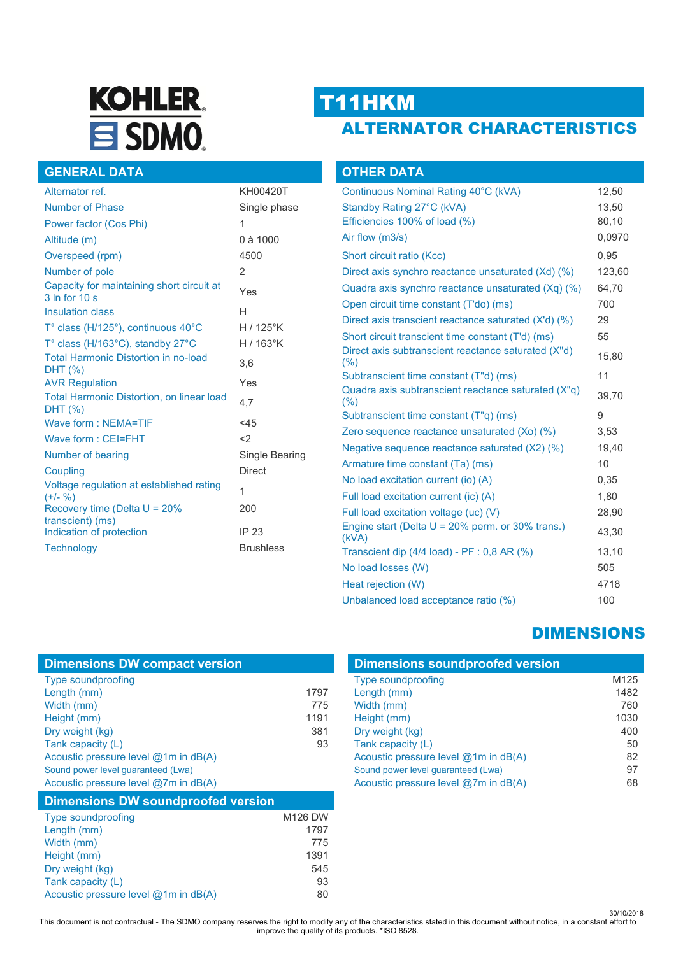# **KOHLER**  $\equiv$  SDMO.

## T11HKM

**OTHER DATA**

### ALTERNATOR CHARACTERISTICS

#### **GENERAL DATA**

| Alternator ref.                                                   | KH00420T          |
|-------------------------------------------------------------------|-------------------|
| Number of Phase                                                   | Single phase      |
| Power factor (Cos Phi)                                            | 1                 |
| Altitude (m)                                                      | 0 à 1000          |
| Overspeed (rpm)                                                   | 4500              |
| Number of pole                                                    | 2                 |
| Capacity for maintaining short circuit at<br>3 In for 10 s        | Yes               |
| <b>Insulation class</b>                                           | Н                 |
| $T^{\circ}$ class (H/125 $^{\circ}$ ), continuous 40 $^{\circ}$ C | $H/125^\circ K$   |
| T° class (H/163°C), standby 27°C                                  | H / $163^\circ$ K |
| <b>Total Harmonic Distortion in no-load</b><br>DHT (%)            | 3,6               |
| <b>AVR Regulation</b>                                             | Yes               |
| <b>Total Harmonic Distortion, on linear load</b><br>DHT (%)       | 4.7               |
| Wave form: NEMA=TIF                                               | $<$ 45            |
| Wave form: CEI=FHT                                                | $\langle$         |
| Number of bearing                                                 | Single Bearing    |
| Coupling                                                          | <b>Direct</b>     |
| Voltage regulation at established rating<br>$(+/- 96)$            | 1                 |
| Recovery time (Delta $U = 20\%$                                   | 200               |
| transcient) (ms)<br>Indication of protection                      | IP 23             |
|                                                                   | <b>Brushless</b>  |
| <b>Technology</b>                                                 |                   |

| Continuous Nominal Rating 40°C (kVA)                           | 12,50  |
|----------------------------------------------------------------|--------|
| Standby Rating 27°C (kVA)                                      | 13,50  |
| Efficiencies 100% of load (%)                                  | 80,10  |
| Air flow (m3/s)                                                | 0,0970 |
| Short circuit ratio (Kcc)                                      | 0,95   |
| Direct axis synchro reactance unsaturated (Xd) (%)             | 123,60 |
| Quadra axis synchro reactance unsaturated (Xq) (%)             | 64,70  |
| Open circuit time constant (T'do) (ms)                         | 700    |
| Direct axis transcient reactance saturated (X'd) (%)           | 29     |
| Short circuit transcient time constant (T'd) (ms)              | 55     |
| Direct axis subtranscient reactance saturated (X"d)<br>$(\% )$ | 15,80  |
| Subtranscient time constant (T"d) (ms)                         | 11     |
| Quadra axis subtranscient reactance saturated (X"q)<br>(% )    | 39,70  |
| Subtranscient time constant (T"q) (ms)                         | 9      |
| Zero sequence reactance unsaturated (Xo) (%)                   | 3,53   |
| Negative sequence reactance saturated (X2) (%)                 | 19,40  |
| Armature time constant (Ta) (ms)                               | 10     |
| No load excitation current (io) (A)                            | 0.35   |
| Full load excitation current (ic) (A)                          | 1,80   |
| Full load excitation voltage (uc) (V)                          | 28,90  |
| Engine start (Delta $U = 20\%$ perm. or 30% trans.)<br>(kVA)   | 43,30  |
| Transcient dip (4/4 load) - PF : 0,8 AR (%)                    | 13,10  |
| No load losses (W)                                             | 505    |
| Heat rejection (W)                                             | 4718   |
| Unbalanced load acceptance ratio (%)                           | 100    |

### DIMENSIONS

| <b>Dimensions soundproofed version</b>   |                  |  |
|------------------------------------------|------------------|--|
| <b>Type soundproofing</b>                | M <sub>125</sub> |  |
| Length (mm)                              | 1482             |  |
| Width (mm)                               | 760              |  |
| Height (mm)                              | 1030             |  |
| Dry weight (kg)                          | 400              |  |
| Tank capacity (L)                        | 50               |  |
| Acoustic pressure level $@1m$ in $dB(A)$ | 82               |  |
| Sound power level guaranteed (Lwa)       | 97               |  |
| Acoustic pressure level @7m in dB(A)     | 68               |  |

| Acoustic pressure level @7m in dB(A)      |                |  |
|-------------------------------------------|----------------|--|
| <b>Dimensions DW soundproofed version</b> |                |  |
| <b>Type soundproofing</b>                 | <b>M126 DW</b> |  |
| Length (mm)                               | 1797           |  |
| Width (mm)                                | 775            |  |
| Height (mm)                               | 1391           |  |
| Dry weight (kg)                           | 545            |  |
| Tank capacity (L)                         | 93             |  |
| Acoustic pressure level @1m in dB(A)      | 80             |  |

Length (mm) 1797 Width (mm) 775<br>Height (mm) 775 Height (mm) 1191<br>Dry weight (kg) 381

Tank capacity (L) 83

**Dimensions DW compact version**

Acoustic pressure level @1m in dB(A) Sound power level guaranteed (Lwa)

Type soundproofing

Dry weight (kg)

30/10/2018 This document is not contractual - The SDMO company reserves the right to modify any of the characteristics stated in this document without notice, in a constant effort to improve the quality of its products. \*ISO 8528.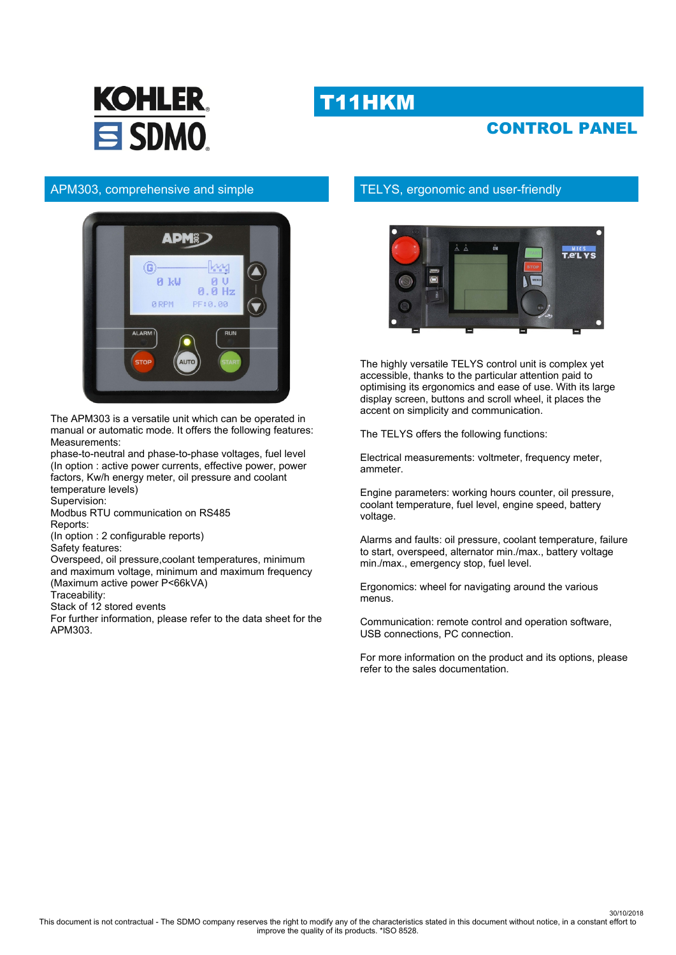## T11HKM





#### APM303, comprehensive and simple



The APM303 is a versatile unit which can be operated in manual or automatic mode. It offers the following features: Measurements:

phase-to-neutral and phase-to-phase voltages, fuel level (In option : active power currents, effective power, power factors, Kw/h energy meter, oil pressure and coolant temperature levels)

Supervision:

Modbus RTU communication on RS485 Reports:

(In option : 2 configurable reports)

Safety features:

Overspeed, oil pressure,coolant temperatures, minimum and maximum voltage, minimum and maximum frequency (Maximum active power P<66kVA)

Traceability:

Stack of 12 stored events

For further information, please refer to the data sheet for the APM303.

#### TELYS, ergonomic and user-friendly



The highly versatile TELYS control unit is complex yet accessible, thanks to the particular attention paid to optimising its ergonomics and ease of use. With its large display screen, buttons and scroll wheel, it places the accent on simplicity and communication.

The TELYS offers the following functions:

Electrical measurements: voltmeter, frequency meter, ammeter.

Engine parameters: working hours counter, oil pressure, coolant temperature, fuel level, engine speed, battery voltage.

Alarms and faults: oil pressure, coolant temperature, failure to start, overspeed, alternator min./max., battery voltage min./max., emergency stop, fuel level.

Ergonomics: wheel for navigating around the various menus.

Communication: remote control and operation software, USB connections, PC connection.

For more information on the product and its options, please refer to the sales documentation.